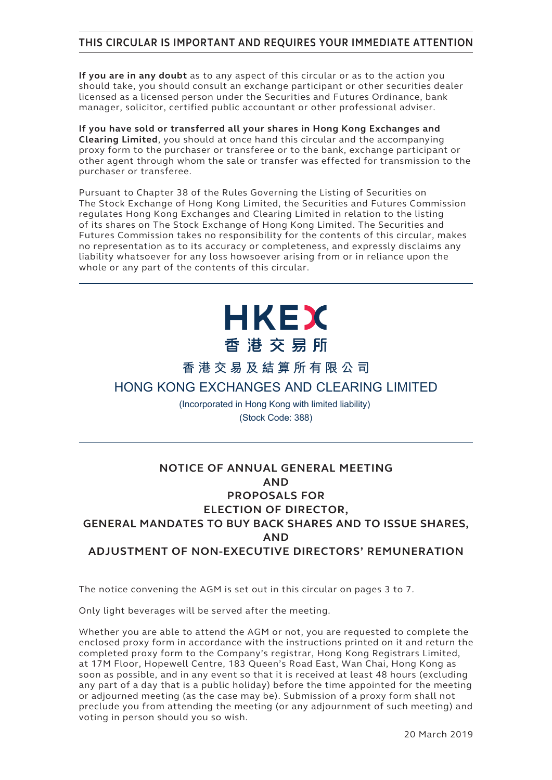# **THIS CIRCULAR IS IMPORTANT AND REQUIRES YOUR IMMEDIATE ATTENTION**

**If you are in any doubt** as to any aspect of this circular or as to the action you should take, you should consult an exchange participant or other securities dealer licensed as a licensed person under the Securities and Futures Ordinance, bank manager, solicitor, certified public accountant or other professional adviser.

**If you have sold or transferred all your shares in Hong Kong Exchanges and Clearing Limited**, you should at once hand this circular and the accompanying proxy form to the purchaser or transferee or to the bank, exchange participant or other agent through whom the sale or transfer was effected for transmission to the purchaser or transferee.

Pursuant to Chapter 38 of the Rules Governing the Listing of Securities on The Stock Exchange of Hong Kong Limited, the Securities and Futures Commission regulates Hong Kong Exchanges and Clearing Limited in relation to the listing of its shares on The Stock Exchange of Hong Kong Limited. The Securities and Futures Commission takes no responsibility for the contents of this circular, makes no representation as to its accuracy or completeness, and expressly disclaims any liability whatsoever for any loss howsoever arising from or in reliance upon the whole or any part of the contents of this circular.

# **HKEX** 香港交易所

# **香港交易及結算所有限公司**

# **HONG KONG EXCHANGES AND CLEARING LIMITED**

(Incorporated in Hong Kong with limited liability) (Stock Code: 388)

# **NOTICE OF ANNUAL GENERAL MEETING AND PROPOSALS FOR ELECTION OF DIRECTOR, GENERAL MANDATES TO BUY BACK SHARES AND TO ISSUE SHARES, AND ADJUSTMENT OF NON-EXECUTIVE DIRECTORS' REMUNERATION**

The notice convening the AGM is set out in this circular on pages 3 to 7.

Only light beverages will be served after the meeting.

Whether you are able to attend the AGM or not, you are requested to complete the enclosed proxy form in accordance with the instructions printed on it and return the completed proxy form to the Company's registrar, Hong Kong Registrars Limited, at 17M Floor, Hopewell Centre, 183 Queen's Road East, Wan Chai, Hong Kong as soon as possible, and in any event so that it is received at least 48 hours (excluding any part of a day that is a public holiday) before the time appointed for the meeting or adjourned meeting (as the case may be). Submission of a proxy form shall not preclude you from attending the meeting (or any adjournment of such meeting) and voting in person should you so wish.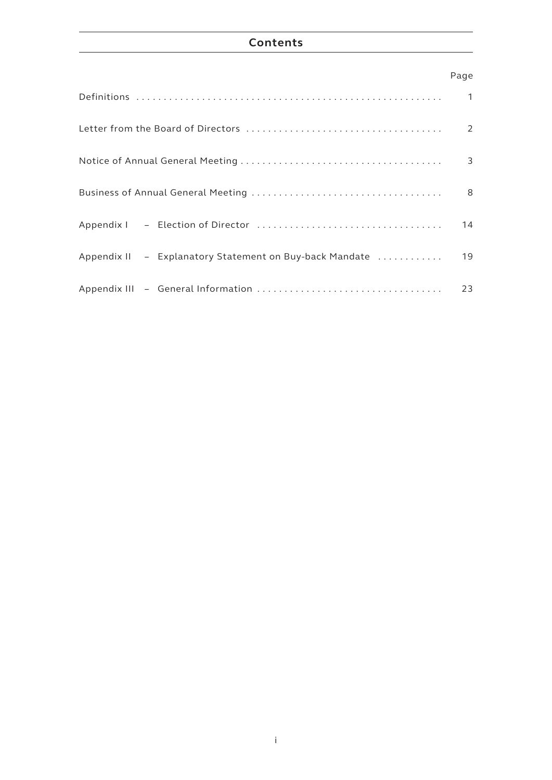# **Contents**

# Page

|                                                         | 2  |
|---------------------------------------------------------|----|
|                                                         | 3  |
|                                                         | 8  |
|                                                         | 14 |
| Appendix II - Explanatory Statement on Buy-back Mandate | 19 |
|                                                         | 23 |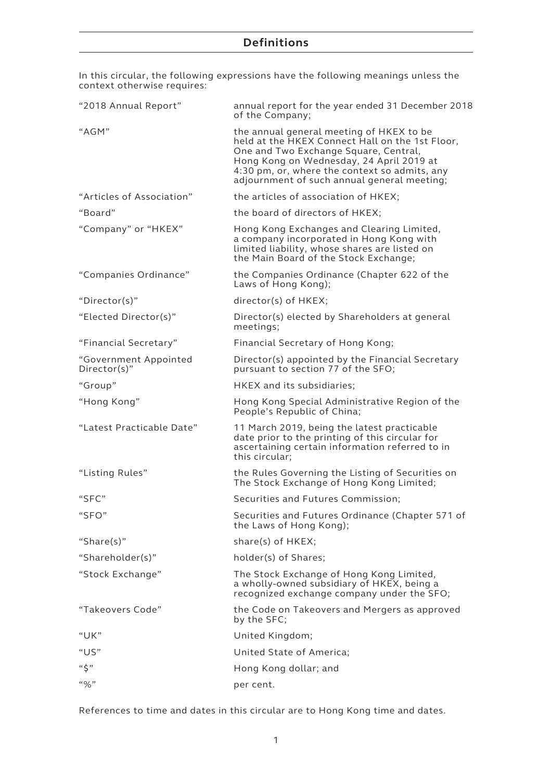## **Definitions**

In this circular, the following expressions have the following meanings unless the context otherwise requires:

| "2018 Annual Report"                  | annual report for the year ended 31 December 2018<br>of the Company;                                                                                                                                                                                                             |
|---------------------------------------|----------------------------------------------------------------------------------------------------------------------------------------------------------------------------------------------------------------------------------------------------------------------------------|
| "AGM"                                 | the annual general meeting of HKEX to be<br>held at the HKEX Connect Hall on the 1st Floor,<br>One and Two Exchange Square, Central,<br>Hong Kong on Wednesday, 24 April 2019 at<br>4:30 pm, or, where the context so admits, any<br>adjournment of such annual general meeting; |
| "Articles of Association"             | the articles of association of HKEX;                                                                                                                                                                                                                                             |
| "Board"                               | the board of directors of HKEX;                                                                                                                                                                                                                                                  |
| "Company" or "HKEX"                   | Hong Kong Exchanges and Clearing Limited,<br>a company incorporated in Hong Kong with<br>limited liability, whose shares are listed on<br>the Main Board of the Stock Exchange;                                                                                                  |
| "Companies Ordinance"                 | the Companies Ordinance (Chapter 622 of the<br>Laws of Hong Kong);                                                                                                                                                                                                               |
| "Director(s)"                         | director(s) of HKEX;                                                                                                                                                                                                                                                             |
| "Elected Director(s)"                 | Director(s) elected by Shareholders at general<br>meetings;                                                                                                                                                                                                                      |
| "Financial Secretary"                 | Financial Secretary of Hong Kong;                                                                                                                                                                                                                                                |
| "Government Appointed<br>Director(s)" | Director(s) appointed by the Financial Secretary<br>pursuant to section 77 of the SFO;                                                                                                                                                                                           |
| "Group"                               | HKEX and its subsidiaries;                                                                                                                                                                                                                                                       |
| "Hong Kong"                           | Hong Kong Special Administrative Region of the<br>People's Republic of China;                                                                                                                                                                                                    |
| "Latest Practicable Date"             | 11 March 2019, being the latest practicable<br>date prior to the printing of this circular for<br>ascertaining certain information referred to in<br>this circular;                                                                                                              |
| "Listing Rules"                       | the Rules Governing the Listing of Securities on<br>The Stock Exchange of Hong Kong Limited;                                                                                                                                                                                     |
| "SFC"                                 | Securities and Futures Commission;                                                                                                                                                                                                                                               |
| "SFO"                                 | Securities and Futures Ordinance (Chapter 571 of<br>the Laws of Hong Kong);                                                                                                                                                                                                      |
| "Share(s)"                            | share(s) of HKEX;                                                                                                                                                                                                                                                                |
| "Shareholder(s)"                      | holder(s) of Shares;                                                                                                                                                                                                                                                             |
| "Stock Exchange"                      | The Stock Exchange of Hong Kong Limited,<br>a wholly-owned subsidiary of HKEX, being a<br>recognized exchange company under the SFO;                                                                                                                                             |
| "Takeovers Code"                      | the Code on Takeovers and Mergers as approved<br>by the SFC;                                                                                                                                                                                                                     |
| "UK"                                  | United Kingdom;                                                                                                                                                                                                                                                                  |
| "US"                                  | United State of America;                                                                                                                                                                                                                                                         |
| $``\zeta"$                            | Hong Kong dollar; and                                                                                                                                                                                                                                                            |
| $``\%"$                               | per cent.                                                                                                                                                                                                                                                                        |

References to time and dates in this circular are to Hong Kong time and dates.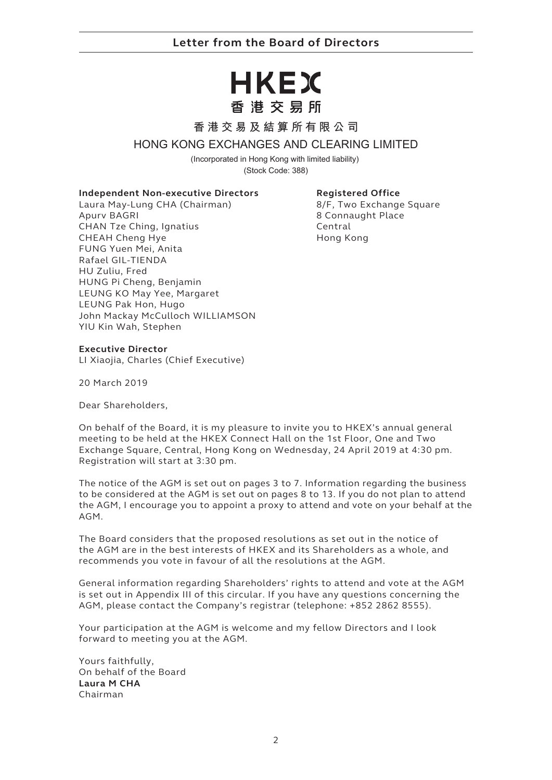# **Letter from the Board of Directors**

# HKEX 香港交易所

### **香港交易及結算所有限公司**

### **HONG KONG EXCHANGES AND CLEARING LIMITED**

(Incorporated in Hong Kong with limited liability) (Stock Code: 388)

#### **Independent Non-executive Directors**

Laura May-Lung CHA (Chairman) Apurv BAGRI CHAN Tze Ching, Ignatius CHEAH Cheng Hye FUNG Yuen Mei, Anita Rafael GIL-TIENDA HU Zuliu, Fred HUNG Pi Cheng, Benjamin LEUNG KO May Yee, Margaret LEUNG Pak Hon, Hugo John Mackay McCulloch WILLIAMSON YIU Kin Wah, Stephen

#### **Registered Office**

8/F, Two Exchange Square 8 Connaught Place Central Hong Kong

#### **Executive Director**

LI Xiaojia, Charles (Chief Executive)

20 March 2019

Dear Shareholders,

On behalf of the Board, it is my pleasure to invite you to HKEX's annual general meeting to be held at the HKEX Connect Hall on the 1st Floor, One and Two Exchange Square, Central, Hong Kong on Wednesday, 24 April 2019 at 4:30 pm. Registration will start at 3:30 pm.

The notice of the AGM is set out on pages 3 to 7. Information regarding the business to be considered at the AGM is set out on pages 8 to 13. If you do not plan to attend the AGM, I encourage you to appoint a proxy to attend and vote on your behalf at the AGM.

The Board considers that the proposed resolutions as set out in the notice of the AGM are in the best interests of HKEX and its Shareholders as a whole, and recommends you vote in favour of all the resolutions at the AGM.

General information regarding Shareholders' rights to attend and vote at the AGM is set out in Appendix III of this circular. If you have any questions concerning the AGM, please contact the Company's registrar (telephone: +852 2862 8555).

Your participation at the AGM is welcome and my fellow Directors and I look forward to meeting you at the AGM.

Yours faithfully, On behalf of the Board **Laura M CHA** Chairman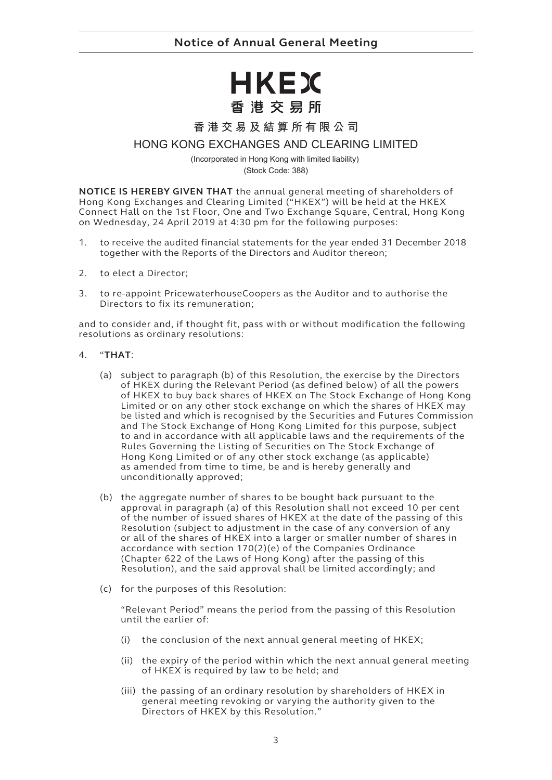# HKEX 香港交易所

**香港交易及結算所有限公司**

## **HONG KONG EXCHANGES AND CLEARING LIMITED**

(Incorporated in Hong Kong with limited liability)

(Stock Code: 388)

**NOTICE IS HEREBY GIVEN THAT** the annual general meeting of shareholders of Hong Kong Exchanges and Clearing Limited ("HKEX") will be held at the HKEX Connect Hall on the 1st Floor, One and Two Exchange Square, Central, Hong Kong on Wednesday, 24 April 2019 at 4:30 pm for the following purposes:

- 1. to receive the audited financial statements for the year ended 31 December 2018 together with the Reports of the Directors and Auditor thereon;
- 2. to elect a Director;
- 3. to re-appoint PricewaterhouseCoopers as the Auditor and to authorise the Directors to fix its remuneration;

and to consider and, if thought fit, pass with or without modification the following resolutions as ordinary resolutions:

#### 4. "**THAT**:

- (a) subject to paragraph (b) of this Resolution, the exercise by the Directors of HKEX during the Relevant Period (as defined below) of all the powers of HKEX to buy back shares of HKEX on The Stock Exchange of Hong Kong Limited or on any other stock exchange on which the shares of HKEX may be listed and which is recognised by the Securities and Futures Commission and The Stock Exchange of Hong Kong Limited for this purpose, subject to and in accordance with all applicable laws and the requirements of the Rules Governing the Listing of Securities on The Stock Exchange of Hong Kong Limited or of any other stock exchange (as applicable) as amended from time to time, be and is hereby generally and unconditionally approved;
- (b) the aggregate number of shares to be bought back pursuant to the approval in paragraph (a) of this Resolution shall not exceed 10 per cent of the number of issued shares of HKEX at the date of the passing of this Resolution (subject to adjustment in the case of any conversion of any or all of the shares of HKEX into a larger or smaller number of shares in accordance with section 170(2)(e) of the Companies Ordinance (Chapter 622 of the Laws of Hong Kong) after the passing of this Resolution), and the said approval shall be limited accordingly; and
- (c) for the purposes of this Resolution:

"Relevant Period" means the period from the passing of this Resolution until the earlier of:

- (i) the conclusion of the next annual general meeting of HKEX;
- (ii) the expiry of the period within which the next annual general meeting of HKEX is required by law to be held; and
- (iii) the passing of an ordinary resolution by shareholders of HKEX in general meeting revoking or varying the authority given to the Directors of HKEX by this Resolution."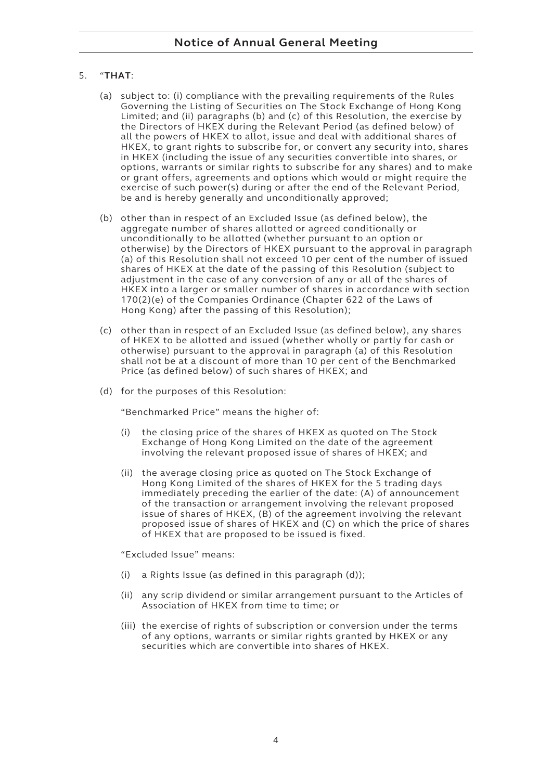#### 5. "**THAT**:

- (a) subject to: (i) compliance with the prevailing requirements of the Rules Governing the Listing of Securities on The Stock Exchange of Hong Kong Limited; and (ii) paragraphs (b) and (c) of this Resolution, the exercise by the Directors of HKEX during the Relevant Period (as defined below) of all the powers of HKEX to allot, issue and deal with additional shares of HKEX, to grant rights to subscribe for, or convert any security into, shares in HKEX (including the issue of any securities convertible into shares, or options, warrants or similar rights to subscribe for any shares) and to make or grant offers, agreements and options which would or might require the exercise of such power(s) during or after the end of the Relevant Period, be and is hereby generally and unconditionally approved;
- (b) other than in respect of an Excluded Issue (as defined below), the aggregate number of shares allotted or agreed conditionally or unconditionally to be allotted (whether pursuant to an option or otherwise) by the Directors of HKEX pursuant to the approval in paragraph (a) of this Resolution shall not exceed 10 per cent of the number of issued shares of HKEX at the date of the passing of this Resolution (subject to adjustment in the case of any conversion of any or all of the shares of HKEX into a larger or smaller number of shares in accordance with section 170(2)(e) of the Companies Ordinance (Chapter 622 of the Laws of Hong Kong) after the passing of this Resolution);
- (c) other than in respect of an Excluded Issue (as defined below), any shares of HKEX to be allotted and issued (whether wholly or partly for cash or otherwise) pursuant to the approval in paragraph (a) of this Resolution shall not be at a discount of more than 10 per cent of the Benchmarked Price (as defined below) of such shares of HKEX; and
- (d) for the purposes of this Resolution:

"Benchmarked Price" means the higher of:

- (i) the closing price of the shares of HKEX as quoted on The Stock Exchange of Hong Kong Limited on the date of the agreement involving the relevant proposed issue of shares of HKEX; and
- (ii) the average closing price as quoted on The Stock Exchange of Hong Kong Limited of the shares of HKEX for the 5 trading days immediately preceding the earlier of the date: (A) of announcement of the transaction or arrangement involving the relevant proposed issue of shares of HKEX, (B) of the agreement involving the relevant proposed issue of shares of HKEX and (C) on which the price of shares of HKEX that are proposed to be issued is fixed.

"Excluded Issue" means:

- (i) a Rights Issue (as defined in this paragraph (d));
- (ii) any scrip dividend or similar arrangement pursuant to the Articles of Association of HKEX from time to time; or
- (iii) the exercise of rights of subscription or conversion under the terms of any options, warrants or similar rights granted by HKEX or any securities which are convertible into shares of HKEX.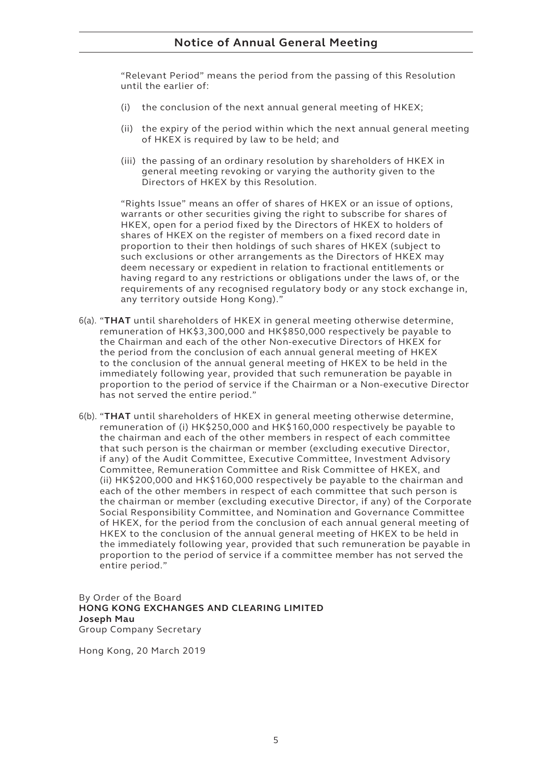# **Notice of Annual General Meeting**

"Relevant Period" means the period from the passing of this Resolution until the earlier of:

- (i) the conclusion of the next annual general meeting of HKEX;
- (ii) the expiry of the period within which the next annual general meeting of HKEX is required by law to be held; and
- (iii) the passing of an ordinary resolution by shareholders of HKEX in general meeting revoking or varying the authority given to the Directors of HKEX by this Resolution.

"Rights Issue" means an offer of shares of HKEX or an issue of options, warrants or other securities giving the right to subscribe for shares of HKEX, open for a period fixed by the Directors of HKEX to holders of shares of HKEX on the register of members on a fixed record date in proportion to their then holdings of such shares of HKEX (subject to such exclusions or other arrangements as the Directors of HKEX may deem necessary or expedient in relation to fractional entitlements or having regard to any restrictions or obligations under the laws of, or the requirements of any recognised regulatory body or any stock exchange in, any territory outside Hong Kong)."

- 6(a). "**THAT** until shareholders of HKEX in general meeting otherwise determine, remuneration of HK\$3,300,000 and HK\$850,000 respectively be payable to the Chairman and each of the other Non-executive Directors of HKEX for the period from the conclusion of each annual general meeting of HKEX to the conclusion of the annual general meeting of HKEX to be held in the immediately following year, provided that such remuneration be payable in proportion to the period of service if the Chairman or a Non-executive Director has not served the entire period."
- 6(b). "**THAT** until shareholders of HKEX in general meeting otherwise determine, remuneration of (i) HK\$250,000 and HK\$160,000 respectively be payable to the chairman and each of the other members in respect of each committee that such person is the chairman or member (excluding executive Director, if any) of the Audit Committee, Executive Committee, Investment Advisory Committee, Remuneration Committee and Risk Committee of HKEX, and (ii) HK\$200,000 and HK\$160,000 respectively be payable to the chairman and each of the other members in respect of each committee that such person is the chairman or member (excluding executive Director, if any) of the Corporate Social Responsibility Committee, and Nomination and Governance Committee of HKEX, for the period from the conclusion of each annual general meeting of HKEX to the conclusion of the annual general meeting of HKEX to be held in the immediately following year, provided that such remuneration be payable in proportion to the period of service if a committee member has not served the entire period."

By Order of the Board **HONG KONG EXCHANGES AND CLEARING LIMITED Joseph Mau** Group Company Secretary

Hong Kong, 20 March 2019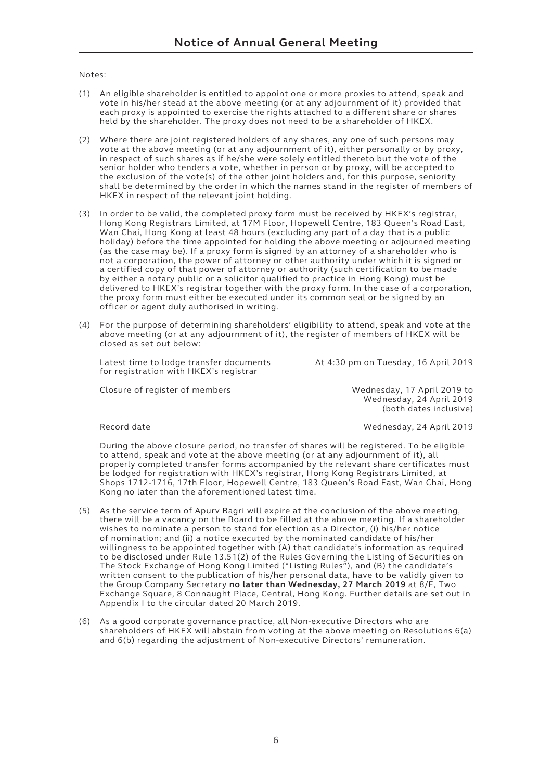# **Notice of Annual General Meeting**

Notes:

- (1) An eligible shareholder is entitled to appoint one or more proxies to attend, speak and vote in his/her stead at the above meeting (or at any adjournment of it) provided that each proxy is appointed to exercise the rights attached to a different share or shares held by the shareholder. The proxy does not need to be a shareholder of HKEX.
- (2) Where there are joint registered holders of any shares, any one of such persons may vote at the above meeting (or at any adjournment of it), either personally or by proxy, in respect of such shares as if he/she were solely entitled thereto but the vote of the senior holder who tenders a vote, whether in person or by proxy, will be accepted to the exclusion of the vote(s) of the other joint holders and, for this purpose, seniority shall be determined by the order in which the names stand in the register of members of HKEX in respect of the relevant joint holding.
- (3) In order to be valid, the completed proxy form must be received by HKEX's registrar, Hong Kong Registrars Limited, at 17M Floor, Hopewell Centre, 183 Queen's Road East, Wan Chai, Hong Kong at least 48 hours (excluding any part of a day that is a public holiday) before the time appointed for holding the above meeting or adjourned meeting (as the case may be). If a proxy form is signed by an attorney of a shareholder who is not a corporation, the power of attorney or other authority under which it is signed or a certified copy of that power of attorney or authority (such certification to be made by either a notary public or a solicitor qualified to practice in Hong Kong) must be delivered to HKEX's registrar together with the proxy form. In the case of a corporation, the proxy form must either be executed under its common seal or be signed by an officer or agent duly authorised in writing.
- (4) For the purpose of determining shareholders' eligibility to attend, speak and vote at the above meeting (or at any adjournment of it), the register of members of HKEX will be closed as set out below:

Latest time to lodge transfer documents At 4:30 pm on Tuesday, 16 April 2019 for registration with HKEX's registrar

Closure of register of members Wednesday, 17 April 2019 to Wednesday, 24 April 2019

(both dates inclusive)

Record date Wednesday, 24 April 2019

During the above closure period, no transfer of shares will be registered. To be eligible to attend, speak and vote at the above meeting (or at any adjournment of it), all properly completed transfer forms accompanied by the relevant share certificates must be lodged for registration with HKEX's registrar, Hong Kong Registrars Limited, at Shops 1712-1716, 17th Floor, Hopewell Centre, 183 Queen's Road East, Wan Chai, Hong Kong no later than the aforementioned latest time.

- (5) As the service term of Apurv Bagri will expire at the conclusion of the above meeting, there will be a vacancy on the Board to be filled at the above meeting. If a shareholder wishes to nominate a person to stand for election as a Director, (i) his/her notice of nomination; and (ii) a notice executed by the nominated candidate of his/her willingness to be appointed together with (A) that candidate's information as required to be disclosed under Rule 13.51(2) of the Rules Governing the Listing of Securities on The Stock Exchange of Hong Kong Limited ("Listing Rules"), and (B) the candidate's written consent to the publication of his/her personal data, have to be validly given to the Group Company Secretary **no later than Wednesday, 27 March 2019** at 8/F, Two Exchange Square, 8 Connaught Place, Central, Hong Kong. Further details are set out in Appendix I to the circular dated 20 March 2019.
- (6) As a good corporate governance practice, all Non-executive Directors who are shareholders of HKEX will abstain from voting at the above meeting on Resolutions 6(a) and 6(b) regarding the adjustment of Non-executive Directors' remuneration.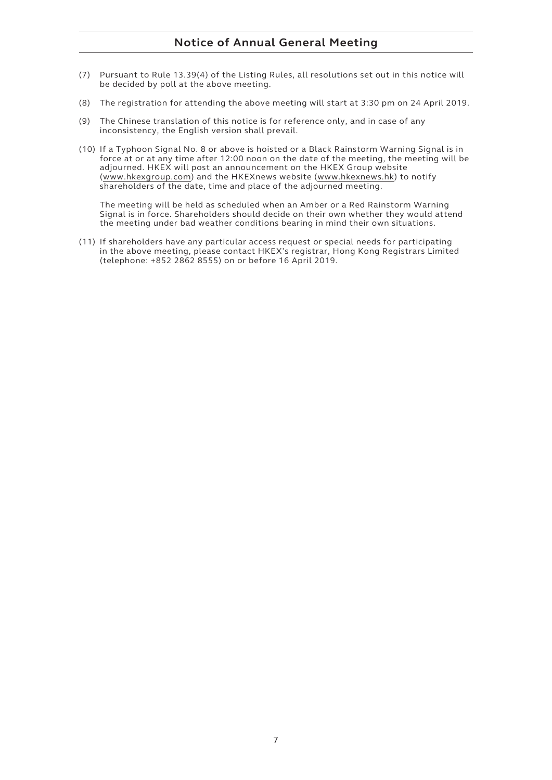# **Notice of Annual General Meeting**

- (7) Pursuant to Rule 13.39(4) of the Listing Rules, all resolutions set out in this notice will be decided by poll at the above meeting.
- (8) The registration for attending the above meeting will start at 3:30 pm on 24 April 2019.
- (9) The Chinese translation of this notice is for reference only, and in case of any inconsistency, the English version shall prevail.
- (10) If a Typhoon Signal No. 8 or above is hoisted or a Black Rainstorm Warning Signal is in force at or at any time after 12:00 noon on the date of the meeting, the meeting will be adjourned. HKEX will post an announcement on the HKEX Group website (www.hkexgroup.com) and the HKEXnews website (www.hkexnews.hk) to notify shareholders of the date, time and place of the adjourned meeting.

The meeting will be held as scheduled when an Amber or a Red Rainstorm Warning Signal is in force. Shareholders should decide on their own whether they would attend the meeting under bad weather conditions bearing in mind their own situations.

(11) If shareholders have any particular access request or special needs for participating in the above meeting, please contact HKEX's registrar, Hong Kong Registrars Limited (telephone: +852 2862 8555) on or before 16 April 2019.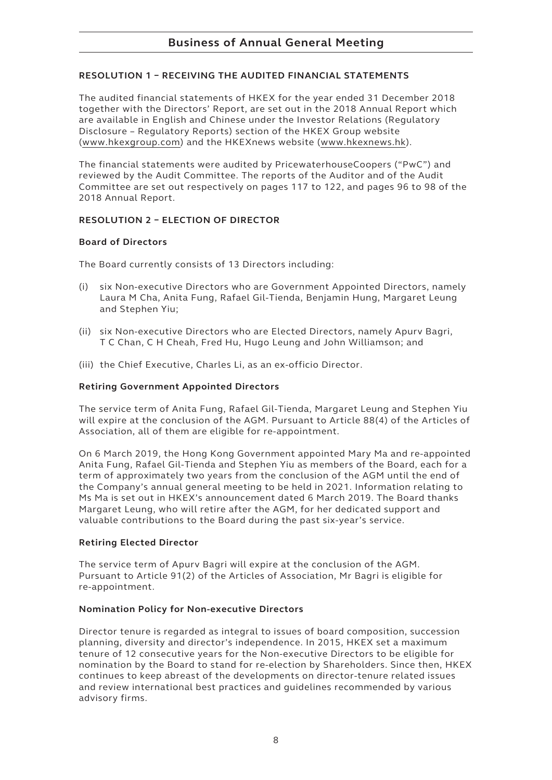### **RESOLUTION 1 – RECEIVING THE AUDITED FINANCIAL STATEMENTS**

The audited financial statements of HKEX for the year ended 31 December 2018 together with the Directors' Report, are set out in the 2018 Annual Report which are available in English and Chinese under the Investor Relations (Regulatory Disclosure – Regulatory Reports) section of the HKEX Group website (www.hkexgroup.com) and the HKEXnews website (www.hkexnews.hk).

The financial statements were audited by PricewaterhouseCoopers ("PwC") and reviewed by the Audit Committee. The reports of the Auditor and of the Audit Committee are set out respectively on pages 117 to 122, and pages 96 to 98 of the 2018 Annual Report.

### **RESOLUTION 2 – ELECTION OF DIRECTOR**

#### **Board of Directors**

The Board currently consists of 13 Directors including:

- (i) six Non-executive Directors who are Government Appointed Directors, namely Laura M Cha, Anita Fung, Rafael Gil-Tienda, Benjamin Hung, Margaret Leung and Stephen Yiu;
- (ii) six Non-executive Directors who are Elected Directors, namely Apurv Bagri, T C Chan, C H Cheah, Fred Hu, Hugo Leung and John Williamson; and
- (iii) the Chief Executive, Charles Li, as an ex-officio Director.

#### **Retiring Government Appointed Directors**

The service term of Anita Fung, Rafael Gil-Tienda, Margaret Leung and Stephen Yiu will expire at the conclusion of the AGM. Pursuant to Article 88(4) of the Articles of Association, all of them are eligible for re-appointment.

On 6 March 2019, the Hong Kong Government appointed Mary Ma and re-appointed Anita Fung, Rafael Gil-Tienda and Stephen Yiu as members of the Board, each for a term of approximately two years from the conclusion of the AGM until the end of the Company's annual general meeting to be held in 2021. Information relating to Ms Ma is set out in HKEX's announcement dated 6 March 2019. The Board thanks Margaret Leung, who will retire after the AGM, for her dedicated support and valuable contributions to the Board during the past six-year's service.

#### **Retiring Elected Director**

The service term of Apurv Bagri will expire at the conclusion of the AGM. Pursuant to Article 91(2) of the Articles of Association, Mr Bagri is eligible for re-appointment.

#### **Nomination Policy for Non-executive Directors**

Director tenure is regarded as integral to issues of board composition, succession planning, diversity and director's independence. In 2015, HKEX set a maximum tenure of 12 consecutive years for the Non-executive Directors to be eligible for nomination by the Board to stand for re-election by Shareholders. Since then, HKEX continues to keep abreast of the developments on director-tenure related issues and review international best practices and guidelines recommended by various advisory firms.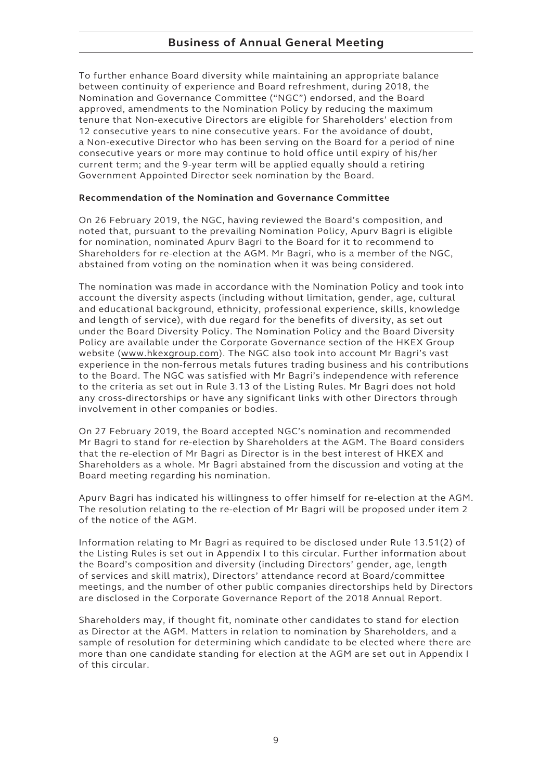To further enhance Board diversity while maintaining an appropriate balance between continuity of experience and Board refreshment, during 2018, the Nomination and Governance Committee ("NGC") endorsed, and the Board approved, amendments to the Nomination Policy by reducing the maximum tenure that Non-executive Directors are eligible for Shareholders' election from 12 consecutive years to nine consecutive years. For the avoidance of doubt, a Non-executive Director who has been serving on the Board for a period of nine consecutive years or more may continue to hold office until expiry of his/her current term; and the 9-year term will be applied equally should a retiring Government Appointed Director seek nomination by the Board.

### **Recommendation of the Nomination and Governance Committee**

On 26 February 2019, the NGC, having reviewed the Board's composition, and noted that, pursuant to the prevailing Nomination Policy, Apurv Bagri is eligible for nomination, nominated Apurv Bagri to the Board for it to recommend to Shareholders for re-election at the AGM. Mr Bagri, who is a member of the NGC, abstained from voting on the nomination when it was being considered.

The nomination was made in accordance with the Nomination Policy and took into account the diversity aspects (including without limitation, gender, age, cultural and educational background, ethnicity, professional experience, skills, knowledge and length of service), with due regard for the benefits of diversity, as set out under the Board Diversity Policy. The Nomination Policy and the Board Diversity Policy are available under the Corporate Governance section of the HKEX Group website (www.hkexgroup.com). The NGC also took into account Mr Bagri's vast experience in the non-ferrous metals futures trading business and his contributions to the Board. The NGC was satisfied with Mr Bagri's independence with reference to the criteria as set out in Rule 3.13 of the Listing Rules. Mr Bagri does not hold any cross-directorships or have any significant links with other Directors through involvement in other companies or bodies.

On 27 February 2019, the Board accepted NGC's nomination and recommended Mr Bagri to stand for re-election by Shareholders at the AGM. The Board considers that the re-election of Mr Bagri as Director is in the best interest of HKEX and Shareholders as a whole. Mr Bagri abstained from the discussion and voting at the Board meeting regarding his nomination.

Apurv Bagri has indicated his willingness to offer himself for re-election at the AGM. The resolution relating to the re-election of Mr Bagri will be proposed under item 2 of the notice of the AGM.

Information relating to Mr Bagri as required to be disclosed under Rule 13.51(2) of the Listing Rules is set out in Appendix I to this circular. Further information about the Board's composition and diversity (including Directors' gender, age, length of services and skill matrix), Directors' attendance record at Board/committee meetings, and the number of other public companies directorships held by Directors are disclosed in the Corporate Governance Report of the 2018 Annual Report.

Shareholders may, if thought fit, nominate other candidates to stand for election as Director at the AGM. Matters in relation to nomination by Shareholders, and a sample of resolution for determining which candidate to be elected where there are more than one candidate standing for election at the AGM are set out in Appendix I of this circular.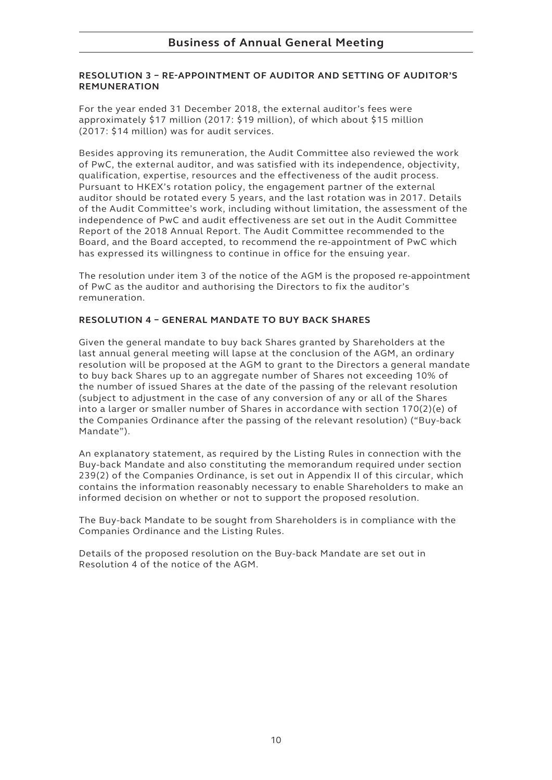#### **RESOLUTION 3 – RE-APPOINTMENT OF AUDITOR AND SETTING OF AUDITOR'S REMUNERATION**

For the year ended 31 December 2018, the external auditor's fees were approximately \$17 million (2017: \$19 million), of which about \$15 million (2017: \$14 million) was for audit services.

Besides approving its remuneration, the Audit Committee also reviewed the work of PwC, the external auditor, and was satisfied with its independence, objectivity, qualification, expertise, resources and the effectiveness of the audit process. Pursuant to HKEX's rotation policy, the engagement partner of the external auditor should be rotated every 5 years, and the last rotation was in 2017. Details of the Audit Committee's work, including without limitation, the assessment of the independence of PwC and audit effectiveness are set out in the Audit Committee Report of the 2018 Annual Report. The Audit Committee recommended to the Board, and the Board accepted, to recommend the re-appointment of PwC which has expressed its willingness to continue in office for the ensuing year.

The resolution under item 3 of the notice of the AGM is the proposed re-appointment of PwC as the auditor and authorising the Directors to fix the auditor's remuneration.

### **RESOLUTION 4 – GENERAL MANDATE TO BUY BACK SHARES**

Given the general mandate to buy back Shares granted by Shareholders at the last annual general meeting will lapse at the conclusion of the AGM, an ordinary resolution will be proposed at the AGM to grant to the Directors a general mandate to buy back Shares up to an aggregate number of Shares not exceeding 10% of the number of issued Shares at the date of the passing of the relevant resolution (subject to adjustment in the case of any conversion of any or all of the Shares into a larger or smaller number of Shares in accordance with section 170(2)(e) of the Companies Ordinance after the passing of the relevant resolution) ("Buy-back Mandate").

An explanatory statement, as required by the Listing Rules in connection with the Buy-back Mandate and also constituting the memorandum required under section 239(2) of the Companies Ordinance, is set out in Appendix II of this circular, which contains the information reasonably necessary to enable Shareholders to make an informed decision on whether or not to support the proposed resolution.

The Buy-back Mandate to be sought from Shareholders is in compliance with the Companies Ordinance and the Listing Rules.

Details of the proposed resolution on the Buy-back Mandate are set out in Resolution 4 of the notice of the AGM.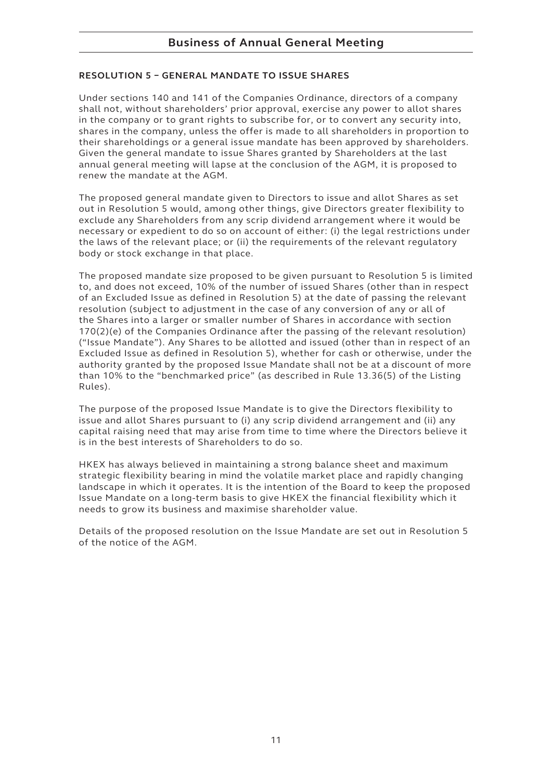### **RESOLUTION 5 – GENERAL MANDATE TO ISSUE SHARES**

Under sections 140 and 141 of the Companies Ordinance, directors of a company shall not, without shareholders' prior approval, exercise any power to allot shares in the company or to grant rights to subscribe for, or to convert any security into, shares in the company, unless the offer is made to all shareholders in proportion to their shareholdings or a general issue mandate has been approved by shareholders. Given the general mandate to issue Shares granted by Shareholders at the last annual general meeting will lapse at the conclusion of the AGM, it is proposed to renew the mandate at the AGM.

The proposed general mandate given to Directors to issue and allot Shares as set out in Resolution 5 would, among other things, give Directors greater flexibility to exclude any Shareholders from any scrip dividend arrangement where it would be necessary or expedient to do so on account of either: (i) the legal restrictions under the laws of the relevant place; or (ii) the requirements of the relevant regulatory body or stock exchange in that place.

The proposed mandate size proposed to be given pursuant to Resolution 5 is limited to, and does not exceed, 10% of the number of issued Shares (other than in respect of an Excluded Issue as defined in Resolution 5) at the date of passing the relevant resolution (subject to adjustment in the case of any conversion of any or all of the Shares into a larger or smaller number of Shares in accordance with section 170(2)(e) of the Companies Ordinance after the passing of the relevant resolution) ("Issue Mandate"). Any Shares to be allotted and issued (other than in respect of an Excluded Issue as defined in Resolution 5), whether for cash or otherwise, under the authority granted by the proposed Issue Mandate shall not be at a discount of more than 10% to the "benchmarked price" (as described in Rule 13.36(5) of the Listing Rules).

The purpose of the proposed Issue Mandate is to give the Directors flexibility to issue and allot Shares pursuant to (i) any scrip dividend arrangement and (ii) any capital raising need that may arise from time to time where the Directors believe it is in the best interests of Shareholders to do so.

HKEX has always believed in maintaining a strong balance sheet and maximum strategic flexibility bearing in mind the volatile market place and rapidly changing landscape in which it operates. It is the intention of the Board to keep the proposed Issue Mandate on a long-term basis to give HKEX the financial flexibility which it needs to grow its business and maximise shareholder value.

Details of the proposed resolution on the Issue Mandate are set out in Resolution 5 of the notice of the AGM.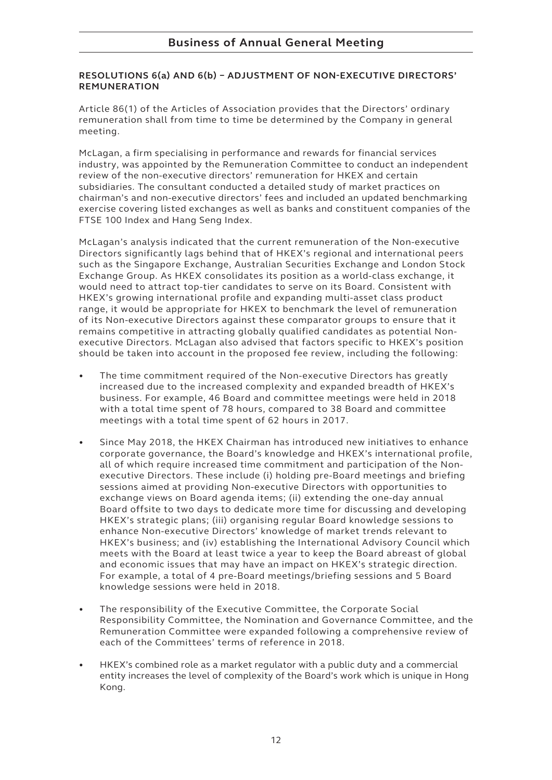#### **RESOLUTIONS 6(a) AND 6(b) – ADJUSTMENT OF NON-EXECUTIVE DIRECTORS' REMUNERATION**

Article 86(1) of the Articles of Association provides that the Directors' ordinary remuneration shall from time to time be determined by the Company in general meeting.

McLagan, a firm specialising in performance and rewards for financial services industry, was appointed by the Remuneration Committee to conduct an independent review of the non-executive directors' remuneration for HKEX and certain subsidiaries. The consultant conducted a detailed study of market practices on chairman's and non-executive directors' fees and included an updated benchmarking exercise covering listed exchanges as well as banks and constituent companies of the FTSE 100 Index and Hang Seng Index.

McLagan's analysis indicated that the current remuneration of the Non-executive Directors significantly lags behind that of HKEX's regional and international peers such as the Singapore Exchange, Australian Securities Exchange and London Stock Exchange Group. As HKEX consolidates its position as a world-class exchange, it would need to attract top-tier candidates to serve on its Board. Consistent with HKEX's growing international profile and expanding multi-asset class product range, it would be appropriate for HKEX to benchmark the level of remuneration of its Non-executive Directors against these comparator groups to ensure that it remains competitive in attracting globally qualified candidates as potential Nonexecutive Directors. McLagan also advised that factors specific to HKEX's position should be taken into account in the proposed fee review, including the following:

- The time commitment required of the Non-executive Directors has greatly increased due to the increased complexity and expanded breadth of HKEX's business. For example, 46 Board and committee meetings were held in 2018 with a total time spent of 78 hours, compared to 38 Board and committee meetings with a total time spent of 62 hours in 2017.
- Since May 2018, the HKEX Chairman has introduced new initiatives to enhance corporate governance, the Board's knowledge and HKEX's international profile, all of which require increased time commitment and participation of the Nonexecutive Directors. These include (i) holding pre-Board meetings and briefing sessions aimed at providing Non-executive Directors with opportunities to exchange views on Board agenda items; (ii) extending the one-day annual Board offsite to two days to dedicate more time for discussing and developing HKEX's strategic plans; (iii) organising regular Board knowledge sessions to enhance Non-executive Directors' knowledge of market trends relevant to HKEX's business; and (iv) establishing the International Advisory Council which meets with the Board at least twice a year to keep the Board abreast of global and economic issues that may have an impact on HKEX's strategic direction. For example, a total of 4 pre-Board meetings/briefing sessions and 5 Board knowledge sessions were held in 2018.
- • The responsibility of the Executive Committee, the Corporate Social Responsibility Committee, the Nomination and Governance Committee, and the Remuneration Committee were expanded following a comprehensive review of each of the Committees' terms of reference in 2018.
- HKEX's combined role as a market regulator with a public duty and a commercial entity increases the level of complexity of the Board's work which is unique in Hong Kong.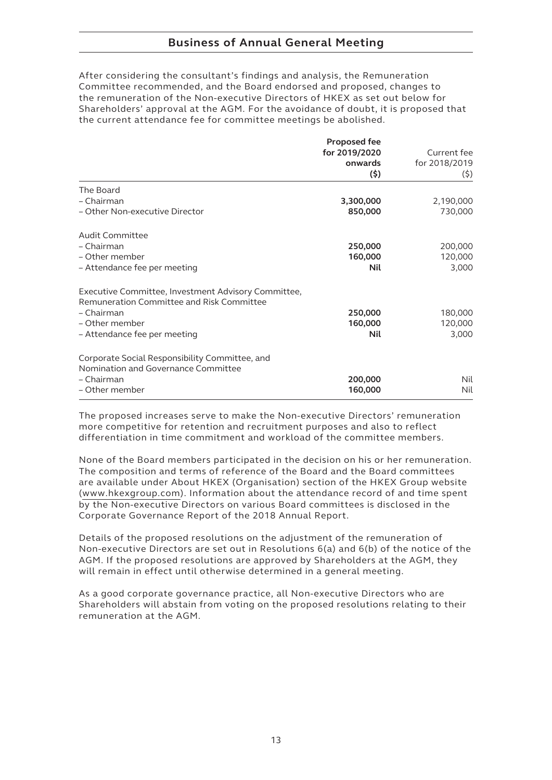# **Business of Annual General Meeting**

After considering the consultant's findings and analysis, the Remuneration Committee recommended, and the Board endorsed and proposed, changes to the remuneration of the Non-executive Directors of HKEX as set out below for Shareholders' approval at the AGM. For the avoidance of doubt, it is proposed that the current attendance fee for committee meetings be abolished.

|                                                     | <b>Proposed fee</b> |               |  |
|-----------------------------------------------------|---------------------|---------------|--|
|                                                     | for 2019/2020       | Current fee   |  |
|                                                     | onwards             | for 2018/2019 |  |
|                                                     | (5)                 | (5)           |  |
| The Board                                           |                     |               |  |
| - Chairman                                          | 3,300,000           | 2,190,000     |  |
| - Other Non-executive Director                      | 850,000             | 730,000       |  |
| Audit Committee                                     |                     |               |  |
| - Chairman                                          | 250,000             | 200,000       |  |
| - Other member                                      | 160,000             | 120,000       |  |
| - Attendance fee per meeting                        | Nil                 | 3,000         |  |
| Executive Committee, Investment Advisory Committee, |                     |               |  |
| Remuneration Committee and Risk Committee           |                     |               |  |
| - Chairman                                          | 250,000             | 180,000       |  |
| - Other member                                      | 160,000             | 120,000       |  |
| - Attendance fee per meeting                        | Nil                 | 3,000         |  |
| Corporate Social Responsibility Committee, and      |                     |               |  |
| Nomination and Governance Committee                 |                     |               |  |
| - Chairman                                          | 200,000             | Nil           |  |
| - Other member                                      | 160,000             | Nil           |  |
|                                                     |                     |               |  |

The proposed increases serve to make the Non-executive Directors' remuneration more competitive for retention and recruitment purposes and also to reflect differentiation in time commitment and workload of the committee members.

None of the Board members participated in the decision on his or her remuneration. The composition and terms of reference of the Board and the Board committees are available under About HKEX (Organisation) section of the HKEX Group website (www.hkexgroup.com). Information about the attendance record of and time spent by the Non-executive Directors on various Board committees is disclosed in the Corporate Governance Report of the 2018 Annual Report.

Details of the proposed resolutions on the adjustment of the remuneration of Non-executive Directors are set out in Resolutions 6(a) and 6(b) of the notice of the AGM. If the proposed resolutions are approved by Shareholders at the AGM, they will remain in effect until otherwise determined in a general meeting.

As a good corporate governance practice, all Non-executive Directors who are Shareholders will abstain from voting on the proposed resolutions relating to their remuneration at the AGM.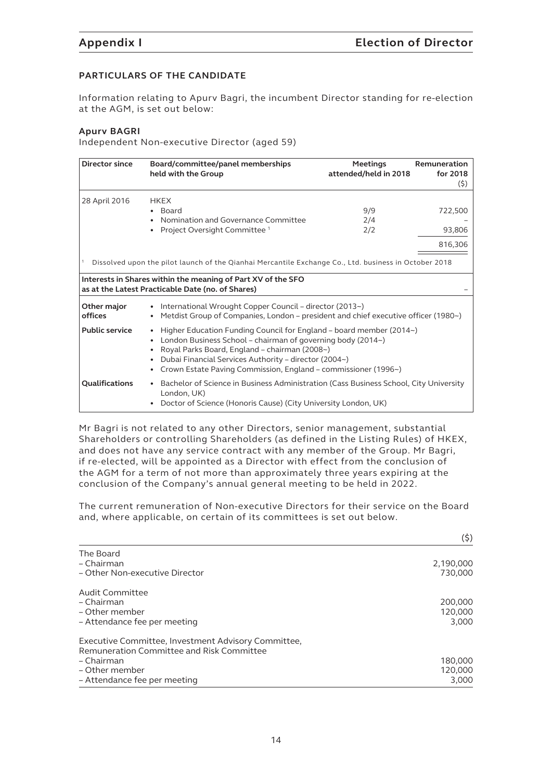#### **PARTICULARS OF THE CANDIDATE**

Information relating to Apurv Bagri, the incumbent Director standing for re-election at the AGM, is set out below:

#### **Apurv BAGRI**

Independent Non-executive Director (aged 59)

| Director since                                                                                                                                                                                                                                                                                                                                                                                                                                                                                                     | Board/committee/panel memberships<br>held with the Group                                                                                                                 | <b>Meetings</b><br>attended/held in 2018 | Remuneration<br>for 2018<br>(5) |  |
|--------------------------------------------------------------------------------------------------------------------------------------------------------------------------------------------------------------------------------------------------------------------------------------------------------------------------------------------------------------------------------------------------------------------------------------------------------------------------------------------------------------------|--------------------------------------------------------------------------------------------------------------------------------------------------------------------------|------------------------------------------|---------------------------------|--|
| 28 April 2016                                                                                                                                                                                                                                                                                                                                                                                                                                                                                                      | <b>HKEX</b><br>• Board<br>Nomination and Governance Committee<br>Project Oversight Committee <sup>1</sup>                                                                | 9/9<br>2/4<br>2/2                        | 722,500<br>93,806<br>816,306    |  |
| Dissolved upon the pilot launch of the Qianhai Mercantile Exchange Co., Ltd. business in October 2018<br>Interests in Shares within the meaning of Part XV of the SFO<br>as at the Latest Practicable Date (no. of Shares)                                                                                                                                                                                                                                                                                         |                                                                                                                                                                          |                                          |                                 |  |
| Other major<br>International Wrought Copper Council – director (2013~)<br>offices<br>Metdist Group of Companies, London – president and chief executive officer (1980~)<br><b>Public service</b><br>Higher Education Funding Council for England – board member (2014~)<br>London Business School – chairman of governing body (2014~)<br>Royal Parks Board, England - chairman (2008~)<br>Dubai Financial Services Authority - director (2004~)<br>Crown Estate Paving Commission, England - commissioner (1996~) |                                                                                                                                                                          |                                          |                                 |  |
| Qualifications                                                                                                                                                                                                                                                                                                                                                                                                                                                                                                     | • Bachelor of Science in Business Administration (Cass Business School, City University<br>London, UK)<br>Doctor of Science (Honoris Cause) (City University London, UK) |                                          |                                 |  |

Mr Bagri is not related to any other Directors, senior management, substantial Shareholders or controlling Shareholders (as defined in the Listing Rules) of HKEX, and does not have any service contract with any member of the Group. Mr Bagri, if re-elected, will be appointed as a Director with effect from the conclusion of the AGM for a term of not more than approximately three years expiring at the conclusion of the Company's annual general meeting to be held in 2022.

The current remuneration of Non-executive Directors for their service on the Board and, where applicable, on certain of its committees is set out below.

|                                                     | (5)       |
|-----------------------------------------------------|-----------|
| The Board                                           |           |
| - Chairman                                          | 2,190,000 |
| - Other Non-executive Director                      | 730,000   |
| Audit Committee                                     |           |
| - Chairman                                          | 200,000   |
| – Other member                                      | 120,000   |
| – Attendance fee per meeting                        | 3,000     |
| Executive Committee, Investment Advisory Committee, |           |
| Remuneration Committee and Risk Committee           |           |
| - Chairman                                          | 180,000   |
| – Other member                                      | 120,000   |
| – Attendance fee per meeting                        | 3,000     |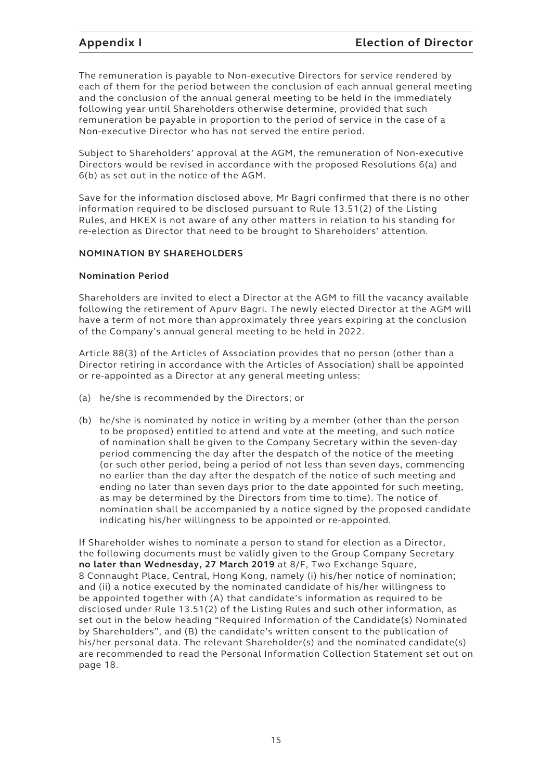The remuneration is payable to Non-executive Directors for service rendered by each of them for the period between the conclusion of each annual general meeting and the conclusion of the annual general meeting to be held in the immediately following year until Shareholders otherwise determine, provided that such remuneration be payable in proportion to the period of service in the case of a Non-executive Director who has not served the entire period.

Subject to Shareholders' approval at the AGM, the remuneration of Non-executive Directors would be revised in accordance with the proposed Resolutions 6(a) and 6(b) as set out in the notice of the AGM.

Save for the information disclosed above, Mr Bagri confirmed that there is no other information required to be disclosed pursuant to Rule 13.51(2) of the Listing Rules, and HKEX is not aware of any other matters in relation to his standing for re-election as Director that need to be brought to Shareholders' attention.

### **NOMINATION BY SHAREHOLDERS**

#### **Nomination Period**

Shareholders are invited to elect a Director at the AGM to fill the vacancy available following the retirement of Apurv Bagri. The newly elected Director at the AGM will have a term of not more than approximately three years expiring at the conclusion of the Company's annual general meeting to be held in 2022.

Article 88(3) of the Articles of Association provides that no person (other than a Director retiring in accordance with the Articles of Association) shall be appointed or re-appointed as a Director at any general meeting unless:

- (a) he/she is recommended by the Directors; or
- (b) he/she is nominated by notice in writing by a member (other than the person to be proposed) entitled to attend and vote at the meeting, and such notice of nomination shall be given to the Company Secretary within the seven-day period commencing the day after the despatch of the notice of the meeting (or such other period, being a period of not less than seven days, commencing no earlier than the day after the despatch of the notice of such meeting and ending no later than seven days prior to the date appointed for such meeting, as may be determined by the Directors from time to time). The notice of nomination shall be accompanied by a notice signed by the proposed candidate indicating his/her willingness to be appointed or re-appointed.

If Shareholder wishes to nominate a person to stand for election as a Director, the following documents must be validly given to the Group Company Secretary **no later than Wednesday, 27 March 2019** at 8/F, Two Exchange Square, 8 Connaught Place, Central, Hong Kong, namely (i) his/her notice of nomination; and (ii) a notice executed by the nominated candidate of his/her willingness to be appointed together with (A) that candidate's information as required to be disclosed under Rule 13.51(2) of the Listing Rules and such other information, as set out in the below heading "Required Information of the Candidate(s) Nominated by Shareholders", and (B) the candidate's written consent to the publication of his/her personal data. The relevant Shareholder(s) and the nominated candidate(s) are recommended to read the Personal Information Collection Statement set out on page 18.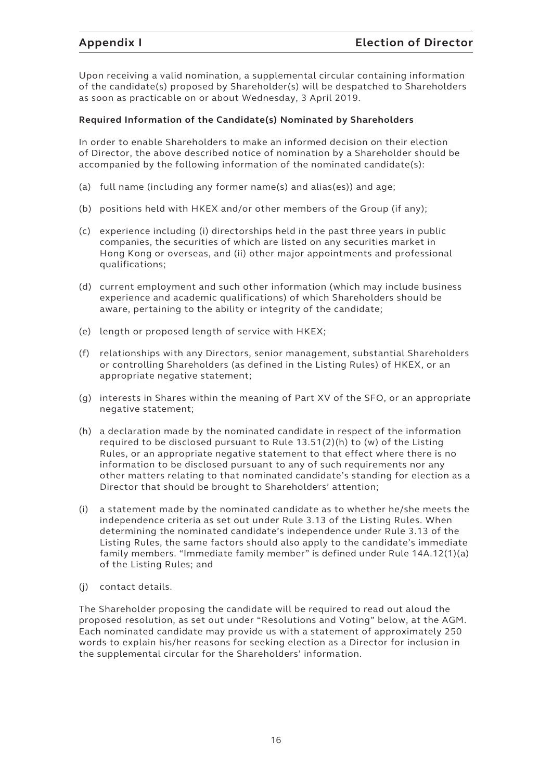Upon receiving a valid nomination, a supplemental circular containing information of the candidate(s) proposed by Shareholder(s) will be despatched to Shareholders as soon as practicable on or about Wednesday, 3 April 2019.

#### **Required Information of the Candidate(s) Nominated by Shareholders**

In order to enable Shareholders to make an informed decision on their election of Director, the above described notice of nomination by a Shareholder should be accompanied by the following information of the nominated candidate(s):

- (a) full name (including any former name(s) and alias(es)) and age;
- (b) positions held with HKEX and/or other members of the Group (if any);
- (c) experience including (i) directorships held in the past three years in public companies, the securities of which are listed on any securities market in Hong Kong or overseas, and (ii) other major appointments and professional qualifications;
- (d) current employment and such other information (which may include business experience and academic qualifications) of which Shareholders should be aware, pertaining to the ability or integrity of the candidate;
- (e) length or proposed length of service with HKEX;
- (f) relationships with any Directors, senior management, substantial Shareholders or controlling Shareholders (as defined in the Listing Rules) of HKEX, or an appropriate negative statement;
- (g) interests in Shares within the meaning of Part XV of the SFO, or an appropriate negative statement;
- (h) a declaration made by the nominated candidate in respect of the information required to be disclosed pursuant to Rule 13.51(2)(h) to (w) of the Listing Rules, or an appropriate negative statement to that effect where there is no information to be disclosed pursuant to any of such requirements nor any other matters relating to that nominated candidate's standing for election as a Director that should be brought to Shareholders' attention;
- (i) a statement made by the nominated candidate as to whether he/she meets the independence criteria as set out under Rule 3.13 of the Listing Rules. When determining the nominated candidate's independence under Rule 3.13 of the Listing Rules, the same factors should also apply to the candidate's immediate family members. "Immediate family member" is defined under Rule 14A.12(1)(a) of the Listing Rules; and
- (j) contact details.

The Shareholder proposing the candidate will be required to read out aloud the proposed resolution, as set out under "Resolutions and Voting" below, at the AGM. Each nominated candidate may provide us with a statement of approximately 250 words to explain his/her reasons for seeking election as a Director for inclusion in the supplemental circular for the Shareholders' information.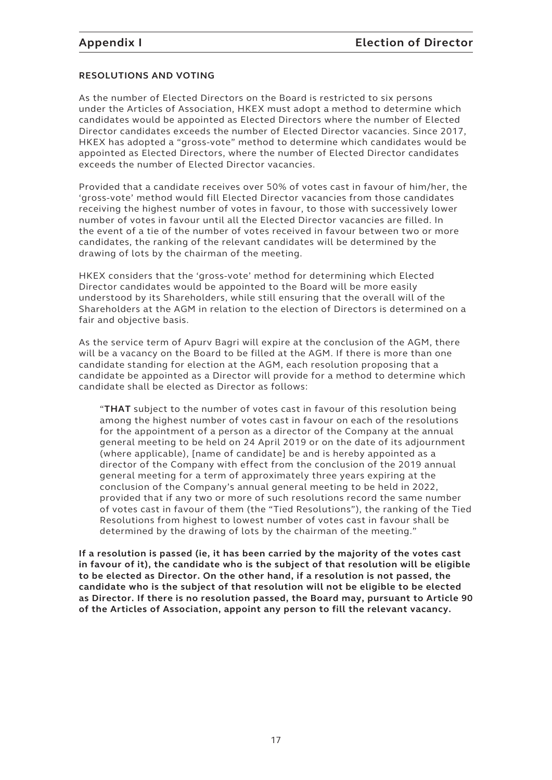#### **RESOLUTIONS AND VOTING**

As the number of Elected Directors on the Board is restricted to six persons under the Articles of Association, HKEX must adopt a method to determine which candidates would be appointed as Elected Directors where the number of Elected Director candidates exceeds the number of Elected Director vacancies. Since 2017, HKEX has adopted a "gross-vote" method to determine which candidates would be appointed as Elected Directors, where the number of Elected Director candidates exceeds the number of Elected Director vacancies.

Provided that a candidate receives over 50% of votes cast in favour of him/her, the 'gross-vote' method would fill Elected Director vacancies from those candidates receiving the highest number of votes in favour, to those with successively lower number of votes in favour until all the Elected Director vacancies are filled. In the event of a tie of the number of votes received in favour between two or more candidates, the ranking of the relevant candidates will be determined by the drawing of lots by the chairman of the meeting.

HKEX considers that the 'gross-vote' method for determining which Elected Director candidates would be appointed to the Board will be more easily understood by its Shareholders, while still ensuring that the overall will of the Shareholders at the AGM in relation to the election of Directors is determined on a fair and objective basis.

As the service term of Apurv Bagri will expire at the conclusion of the AGM, there will be a vacancy on the Board to be filled at the AGM. If there is more than one candidate standing for election at the AGM, each resolution proposing that a candidate be appointed as a Director will provide for a method to determine which candidate shall be elected as Director as follows:

"**THAT** subject to the number of votes cast in favour of this resolution being among the highest number of votes cast in favour on each of the resolutions for the appointment of a person as a director of the Company at the annual general meeting to be held on 24 April 2019 or on the date of its adjournment (where applicable), [name of candidate] be and is hereby appointed as a director of the Company with effect from the conclusion of the 2019 annual general meeting for a term of approximately three years expiring at the conclusion of the Company's annual general meeting to be held in 2022, provided that if any two or more of such resolutions record the same number of votes cast in favour of them (the "Tied Resolutions"), the ranking of the Tied Resolutions from highest to lowest number of votes cast in favour shall be determined by the drawing of lots by the chairman of the meeting."

**If a resolution is passed (ie, it has been carried by the majority of the votes cast in favour of it), the candidate who is the subject of that resolution will be eligible to be elected as Director. On the other hand, if a resolution is not passed, the candidate who is the subject of that resolution will not be eligible to be elected as Director. If there is no resolution passed, the Board may, pursuant to Article 90 of the Articles of Association, appoint any person to fill the relevant vacancy.**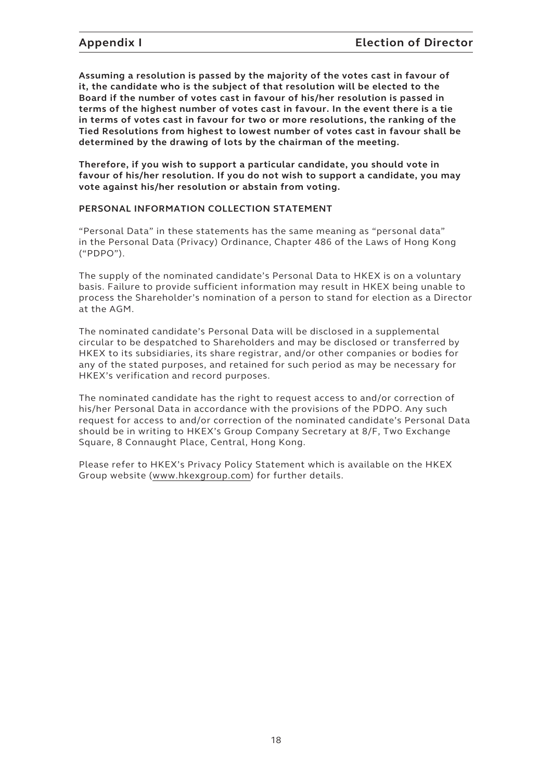**Assuming a resolution is passed by the majority of the votes cast in favour of it, the candidate who is the subject of that resolution will be elected to the Board if the number of votes cast in favour of his/her resolution is passed in terms of the highest number of votes cast in favour. In the event there is a tie in terms of votes cast in favour for two or more resolutions, the ranking of the Tied Resolutions from highest to lowest number of votes cast in favour shall be determined by the drawing of lots by the chairman of the meeting.**

**Therefore, if you wish to support a particular candidate, you should vote in favour of his/her resolution. If you do not wish to support a candidate, you may vote against his/her resolution or abstain from voting.**

#### **PERSONAL INFORMATION COLLECTION STATEMENT**

"Personal Data" in these statements has the same meaning as "personal data" in the Personal Data (Privacy) Ordinance, Chapter 486 of the Laws of Hong Kong ("PDPO").

The supply of the nominated candidate's Personal Data to HKEX is on a voluntary basis. Failure to provide sufficient information may result in HKEX being unable to process the Shareholder's nomination of a person to stand for election as a Director at the AGM.

The nominated candidate's Personal Data will be disclosed in a supplemental circular to be despatched to Shareholders and may be disclosed or transferred by HKEX to its subsidiaries, its share registrar, and/or other companies or bodies for any of the stated purposes, and retained for such period as may be necessary for HKEX's verification and record purposes.

The nominated candidate has the right to request access to and/or correction of his/her Personal Data in accordance with the provisions of the PDPO. Any such request for access to and/or correction of the nominated candidate's Personal Data should be in writing to HKEX's Group Company Secretary at 8/F, Two Exchange Square, 8 Connaught Place, Central, Hong Kong.

Please refer to HKEX's Privacy Policy Statement which is available on the HKEX Group website (www.hkexgroup.com) for further details.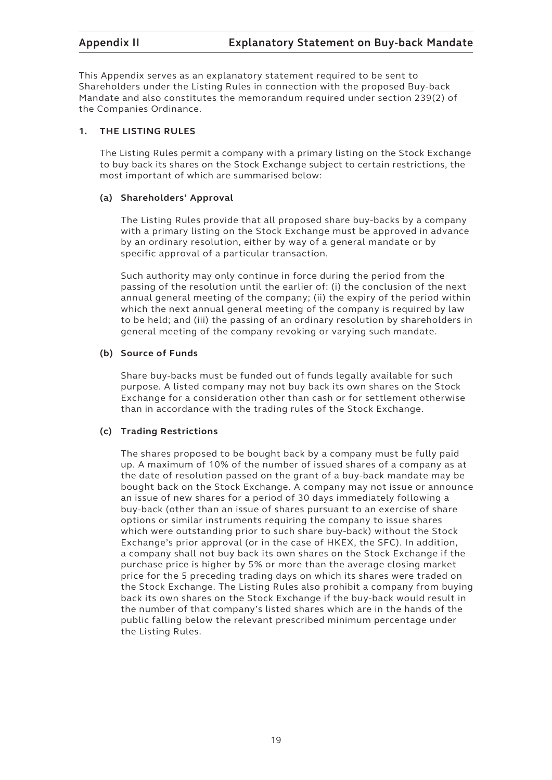This Appendix serves as an explanatory statement required to be sent to Shareholders under the Listing Rules in connection with the proposed Buy-back Mandate and also constitutes the memorandum required under section 239(2) of the Companies Ordinance.

#### **1. THE LISTING RULES**

The Listing Rules permit a company with a primary listing on the Stock Exchange to buy back its shares on the Stock Exchange subject to certain restrictions, the most important of which are summarised below:

### **(a) Shareholders' Approval**

The Listing Rules provide that all proposed share buy-backs by a company with a primary listing on the Stock Exchange must be approved in advance by an ordinary resolution, either by way of a general mandate or by specific approval of a particular transaction.

Such authority may only continue in force during the period from the passing of the resolution until the earlier of: (i) the conclusion of the next annual general meeting of the company; (ii) the expiry of the period within which the next annual general meeting of the company is required by law to be held; and (iii) the passing of an ordinary resolution by shareholders in general meeting of the company revoking or varying such mandate.

### **(b) Source of Funds**

Share buy-backs must be funded out of funds legally available for such purpose. A listed company may not buy back its own shares on the Stock Exchange for a consideration other than cash or for settlement otherwise than in accordance with the trading rules of the Stock Exchange.

#### **(c) Trading Restrictions**

The shares proposed to be bought back by a company must be fully paid up. A maximum of 10% of the number of issued shares of a company as at the date of resolution passed on the grant of a buy-back mandate may be bought back on the Stock Exchange. A company may not issue or announce an issue of new shares for a period of 30 days immediately following a buy-back (other than an issue of shares pursuant to an exercise of share options or similar instruments requiring the company to issue shares which were outstanding prior to such share buy-back) without the Stock Exchange's prior approval (or in the case of HKEX, the SFC). In addition, a company shall not buy back its own shares on the Stock Exchange if the purchase price is higher by 5% or more than the average closing market price for the 5 preceding trading days on which its shares were traded on the Stock Exchange. The Listing Rules also prohibit a company from buying back its own shares on the Stock Exchange if the buy-back would result in the number of that company's listed shares which are in the hands of the public falling below the relevant prescribed minimum percentage under the Listing Rules.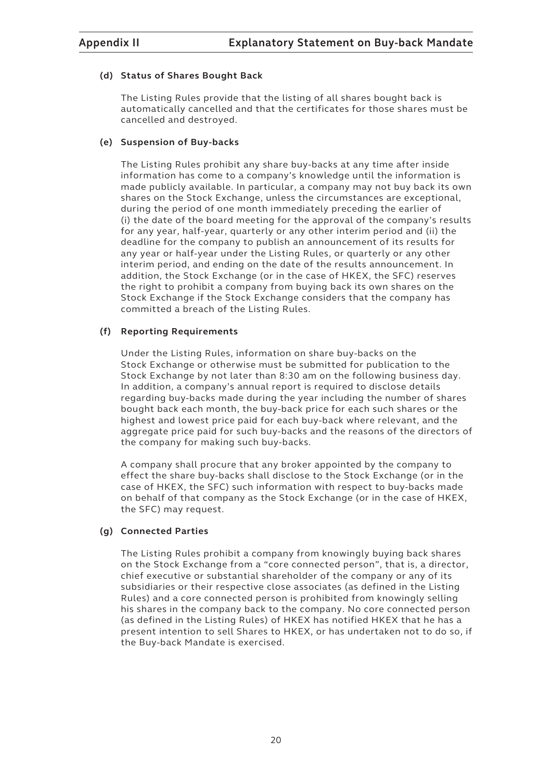#### **(d) Status of Shares Bought Back**

The Listing Rules provide that the listing of all shares bought back is automatically cancelled and that the certificates for those shares must be cancelled and destroyed.

#### **(e) Suspension of Buy-backs**

The Listing Rules prohibit any share buy-backs at any time after inside information has come to a company's knowledge until the information is made publicly available. In particular, a company may not buy back its own shares on the Stock Exchange, unless the circumstances are exceptional, during the period of one month immediately preceding the earlier of (i) the date of the board meeting for the approval of the company's results for any year, half-year, quarterly or any other interim period and (ii) the deadline for the company to publish an announcement of its results for any year or half-year under the Listing Rules, or quarterly or any other interim period, and ending on the date of the results announcement. In addition, the Stock Exchange (or in the case of HKEX, the SFC) reserves the right to prohibit a company from buying back its own shares on the Stock Exchange if the Stock Exchange considers that the company has committed a breach of the Listing Rules.

### **(f) Reporting Requirements**

Under the Listing Rules, information on share buy-backs on the Stock Exchange or otherwise must be submitted for publication to the Stock Exchange by not later than 8:30 am on the following business day. In addition, a company's annual report is required to disclose details regarding buy-backs made during the year including the number of shares bought back each month, the buy-back price for each such shares or the highest and lowest price paid for each buy-back where relevant, and the aggregate price paid for such buy-backs and the reasons of the directors of the company for making such buy-backs.

A company shall procure that any broker appointed by the company to effect the share buy-backs shall disclose to the Stock Exchange (or in the case of HKEX, the SFC) such information with respect to buy-backs made on behalf of that company as the Stock Exchange (or in the case of HKEX, the SFC) may request.

### **(g) Connected Parties**

The Listing Rules prohibit a company from knowingly buying back shares on the Stock Exchange from a "core connected person", that is, a director, chief executive or substantial shareholder of the company or any of its subsidiaries or their respective close associates (as defined in the Listing Rules) and a core connected person is prohibited from knowingly selling his shares in the company back to the company. No core connected person (as defined in the Listing Rules) of HKEX has notified HKEX that he has a present intention to sell Shares to HKEX, or has undertaken not to do so, if the Buy-back Mandate is exercised.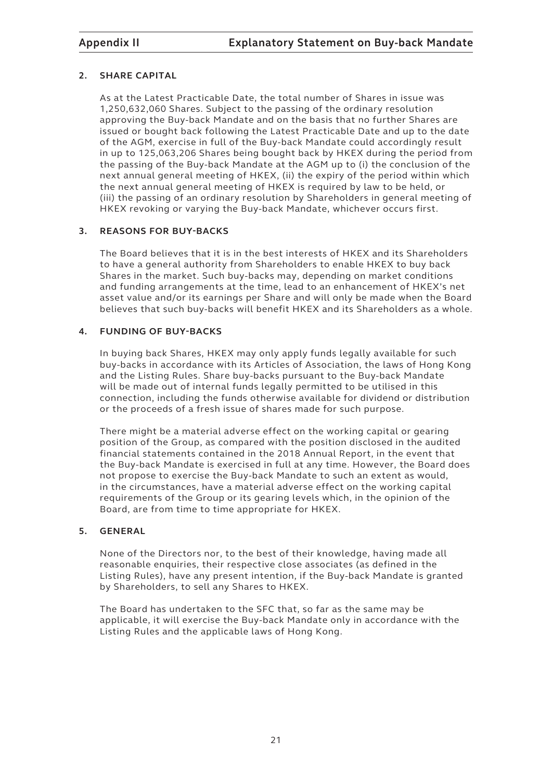### **2. SHARE CAPITAL**

As at the Latest Practicable Date, the total number of Shares in issue was 1,250,632,060 Shares. Subject to the passing of the ordinary resolution approving the Buy-back Mandate and on the basis that no further Shares are issued or bought back following the Latest Practicable Date and up to the date of the AGM, exercise in full of the Buy-back Mandate could accordingly result in up to 125,063,206 Shares being bought back by HKEX during the period from the passing of the Buy-back Mandate at the AGM up to (i) the conclusion of the next annual general meeting of HKEX, (ii) the expiry of the period within which the next annual general meeting of HKEX is required by law to be held, or (iii) the passing of an ordinary resolution by Shareholders in general meeting of HKEX revoking or varying the Buy-back Mandate, whichever occurs first.

### **3. REASONS FOR BUY-BACKS**

The Board believes that it is in the best interests of HKEX and its Shareholders to have a general authority from Shareholders to enable HKEX to buy back Shares in the market. Such buy-backs may, depending on market conditions and funding arrangements at the time, lead to an enhancement of HKEX's net asset value and/or its earnings per Share and will only be made when the Board believes that such buy-backs will benefit HKEX and its Shareholders as a whole.

### **4. FUNDING OF BUY-BACKS**

In buying back Shares, HKEX may only apply funds legally available for such buy-backs in accordance with its Articles of Association, the laws of Hong Kong and the Listing Rules. Share buy-backs pursuant to the Buy-back Mandate will be made out of internal funds legally permitted to be utilised in this connection, including the funds otherwise available for dividend or distribution or the proceeds of a fresh issue of shares made for such purpose.

There might be a material adverse effect on the working capital or gearing position of the Group, as compared with the position disclosed in the audited financial statements contained in the 2018 Annual Report, in the event that the Buy-back Mandate is exercised in full at any time. However, the Board does not propose to exercise the Buy-back Mandate to such an extent as would, in the circumstances, have a material adverse effect on the working capital requirements of the Group or its gearing levels which, in the opinion of the Board, are from time to time appropriate for HKEX.

#### **5. GENERAL**

None of the Directors nor, to the best of their knowledge, having made all reasonable enquiries, their respective close associates (as defined in the Listing Rules), have any present intention, if the Buy-back Mandate is granted by Shareholders, to sell any Shares to HKEX.

The Board has undertaken to the SFC that, so far as the same may be applicable, it will exercise the Buy-back Mandate only in accordance with the Listing Rules and the applicable laws of Hong Kong.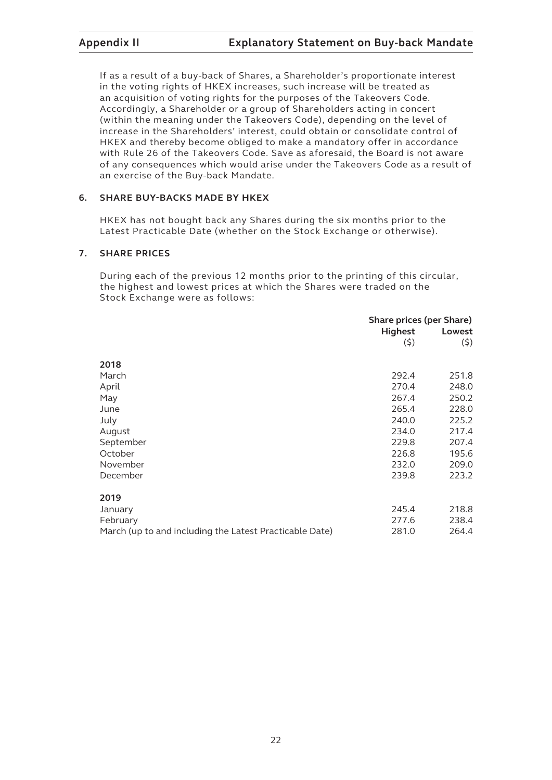If as a result of a buy-back of Shares, a Shareholder's proportionate interest in the voting rights of HKEX increases, such increase will be treated as an acquisition of voting rights for the purposes of the Takeovers Code. Accordingly, a Shareholder or a group of Shareholders acting in concert (within the meaning under the Takeovers Code), depending on the level of increase in the Shareholders' interest, could obtain or consolidate control of HKEX and thereby become obliged to make a mandatory offer in accordance with Rule 26 of the Takeovers Code. Save as aforesaid, the Board is not aware of any consequences which would arise under the Takeovers Code as a result of an exercise of the Buy-back Mandate.

### **6. SHARE BUY-BACKS MADE BY HKEX**

HKEX has not bought back any Shares during the six months prior to the Latest Practicable Date (whether on the Stock Exchange or otherwise).

#### **7. SHARE PRICES**

During each of the previous 12 months prior to the printing of this circular, the highest and lowest prices at which the Shares were traded on the Stock Exchange were as follows:

|                                                         | Share prices (per Share) |        |
|---------------------------------------------------------|--------------------------|--------|
|                                                         | <b>Highest</b>           | Lowest |
|                                                         | (5)                      | (5)    |
| 2018                                                    |                          |        |
| March                                                   | 292.4                    | 251.8  |
|                                                         |                          |        |
| April                                                   | 270.4                    | 248.0  |
| May                                                     | 267.4                    | 250.2  |
| June                                                    | 265.4                    | 228.0  |
| July                                                    | 240.0                    | 225.2  |
| August                                                  | 234.0                    | 217.4  |
| September                                               | 229.8                    | 207.4  |
| October                                                 | 226.8                    | 195.6  |
| November                                                | 232.0                    | 209.0  |
| December                                                | 239.8                    | 223.2  |
| 2019                                                    |                          |        |
| January                                                 | 245.4                    | 218.8  |
| February                                                | 277.6                    | 238.4  |
| March (up to and including the Latest Practicable Date) | 281.0                    | 264.4  |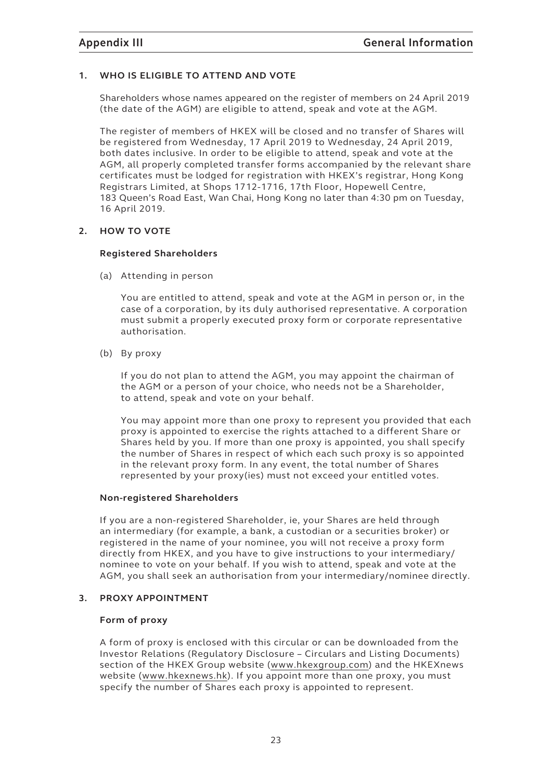### **1. WHO IS ELIGIBLE TO ATTEND AND VOTE**

Shareholders whose names appeared on the register of members on 24 April 2019 (the date of the AGM) are eligible to attend, speak and vote at the AGM.

The register of members of HKEX will be closed and no transfer of Shares will be registered from Wednesday, 17 April 2019 to Wednesday, 24 April 2019, both dates inclusive. In order to be eligible to attend, speak and vote at the AGM, all properly completed transfer forms accompanied by the relevant share certificates must be lodged for registration with HKEX's registrar, Hong Kong Registrars Limited, at Shops 1712-1716, 17th Floor, Hopewell Centre, 183 Queen's Road East, Wan Chai, Hong Kong no later than 4:30 pm on Tuesday, 16 April 2019.

#### **2. HOW TO VOTE**

#### **Registered Shareholders**

(a) Attending in person

You are entitled to attend, speak and vote at the AGM in person or, in the case of a corporation, by its duly authorised representative. A corporation must submit a properly executed proxy form or corporate representative authorisation.

(b) By proxy

If you do not plan to attend the AGM, you may appoint the chairman of the AGM or a person of your choice, who needs not be a Shareholder, to attend, speak and vote on your behalf.

You may appoint more than one proxy to represent you provided that each proxy is appointed to exercise the rights attached to a different Share or Shares held by you. If more than one proxy is appointed, you shall specify the number of Shares in respect of which each such proxy is so appointed in the relevant proxy form. In any event, the total number of Shares represented by your proxy(ies) must not exceed your entitled votes.

#### **Non-registered Shareholders**

If you are a non-registered Shareholder, ie, your Shares are held through an intermediary (for example, a bank, a custodian or a securities broker) or registered in the name of your nominee, you will not receive a proxy form directly from HKEX, and you have to give instructions to your intermediary/ nominee to vote on your behalf. If you wish to attend, speak and vote at the AGM, you shall seek an authorisation from your intermediary/nominee directly.

#### **3. PROXY APPOINTMENT**

#### **Form of proxy**

A form of proxy is enclosed with this circular or can be downloaded from the Investor Relations (Regulatory Disclosure – Circulars and Listing Documents) section of the HKEX Group website (www.hkexgroup.com) and the HKEXnews website (www.hkexnews.hk). If you appoint more than one proxy, you must specify the number of Shares each proxy is appointed to represent.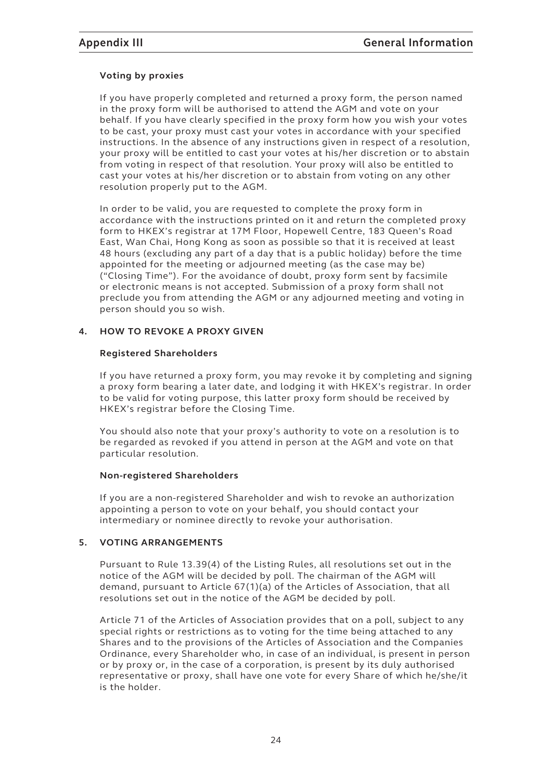### **Voting by proxies**

If you have properly completed and returned a proxy form, the person named in the proxy form will be authorised to attend the AGM and vote on your behalf. If you have clearly specified in the proxy form how you wish your votes to be cast, your proxy must cast your votes in accordance with your specified instructions. In the absence of any instructions given in respect of a resolution, your proxy will be entitled to cast your votes at his/her discretion or to abstain from voting in respect of that resolution. Your proxy will also be entitled to cast your votes at his/her discretion or to abstain from voting on any other resolution properly put to the AGM.

In order to be valid, you are requested to complete the proxy form in accordance with the instructions printed on it and return the completed proxy form to HKEX's registrar at 17M Floor, Hopewell Centre, 183 Queen's Road East, Wan Chai, Hong Kong as soon as possible so that it is received at least 48 hours (excluding any part of a day that is a public holiday) before the time appointed for the meeting or adjourned meeting (as the case may be) ("Closing Time"). For the avoidance of doubt, proxy form sent by facsimile or electronic means is not accepted. Submission of a proxy form shall not preclude you from attending the AGM or any adjourned meeting and voting in person should you so wish.

#### **4. HOW TO REVOKE A PROXY GIVEN**

#### **Registered Shareholders**

If you have returned a proxy form, you may revoke it by completing and signing a proxy form bearing a later date, and lodging it with HKEX's registrar. In order to be valid for voting purpose, this latter proxy form should be received by HKEX's registrar before the Closing Time.

You should also note that your proxy's authority to vote on a resolution is to be regarded as revoked if you attend in person at the AGM and vote on that particular resolution.

#### **Non-registered Shareholders**

If you are a non-registered Shareholder and wish to revoke an authorization appointing a person to vote on your behalf, you should contact your intermediary or nominee directly to revoke your authorisation.

### **5. VOTING ARRANGEMENTS**

Pursuant to Rule 13.39(4) of the Listing Rules, all resolutions set out in the notice of the AGM will be decided by poll. The chairman of the AGM will demand, pursuant to Article 67(1)(a) of the Articles of Association, that all resolutions set out in the notice of the AGM be decided by poll.

Article 71 of the Articles of Association provides that on a poll, subject to any special rights or restrictions as to voting for the time being attached to any Shares and to the provisions of the Articles of Association and the Companies Ordinance, every Shareholder who, in case of an individual, is present in person or by proxy or, in the case of a corporation, is present by its duly authorised representative or proxy, shall have one vote for every Share of which he/she/it is the holder.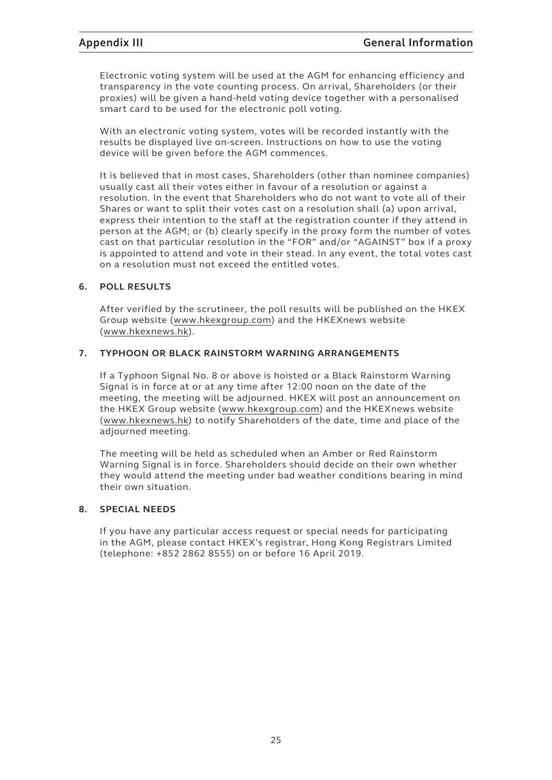Electronic voting system will be used at the AGM for enhancing efficiency and transparency in the vote counting process. On arrival, Shareholders (or their proxies) will be given a hand-held voting device together with a personalised smart card to be used for the electronic poll voting.

With an electronic voting system, votes will be recorded instantly with the results be displayed live on-screen. Instructions on how to use the voting device will be given before the AGM commences.

It is believed that in most cases, Shareholders (other than nominee companies) usually cast all their votes either in favour of a resolution or against a resolution. In the event that Shareholders who do not want to vote all of their Shares or want to split their votes cast on a resolution shall (a) upon arrival, express their intention to the staff at the registration counter if they attend in person at the AGM; or (b) clearly specify in the proxy form the number of votes cast on that particular resolution in the "FOR" and/or "AGAINST" box if a proxy is appointed to attend and vote in their stead. In any event, the total votes cast on a resolution must not exceed the entitled votes.

### **6. POLL RESULTS**

After verified by the scrutineer, the poll results will be published on the HKEX Group website (www.hkexgroup.com) and the HKEXnews website (www.hkexnews.hk).

### **7. TYPHOON OR BLACK RAINSTORM WARNING ARRANGEMENTS**

If a Typhoon Signal No. 8 or above is hoisted or a Black Rainstorm Warning Signal is in force at or at any time after 12:00 noon on the date of the meeting, the meeting will be adjourned. HKEX will post an announcement on the HKEX Group website (www.hkexgroup.com) and the HKEXnews website (www.hkexnews.hk) to notify Shareholders of the date, time and place of the adjourned meeting.

The meeting will be held as scheduled when an Amber or Red Rainstorm Warning Signal is in force. Shareholders should decide on their own whether they would attend the meeting under bad weather conditions bearing in mind their own situation.

#### **8. SPECIAL NEEDS**

If you have any particular access request or special needs for participating in the AGM, please contact HKEX's registrar, Hong Kong Registrars Limited (telephone: +852 2862 8555) on or before 16 April 2019.